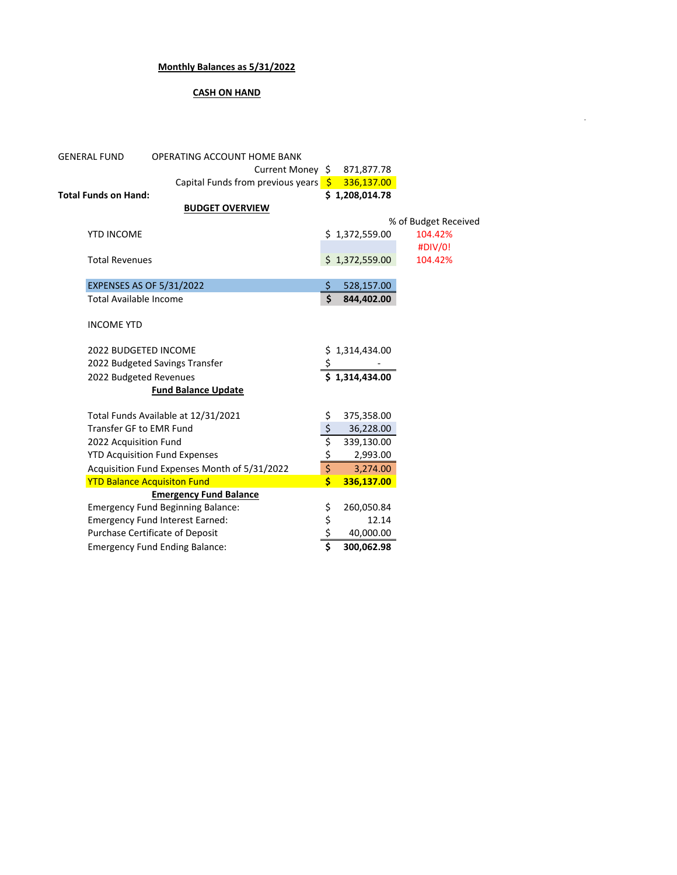## **Monthly Balances as 5/31/2022**

## **CASH ON HAND**

-

| <b>GENERAL FUND</b>           | <b>OPERATING ACCOUNT HOME BANK</b>           |                         |                |                      |  |
|-------------------------------|----------------------------------------------|-------------------------|----------------|----------------------|--|
|                               | Current Money \$                             |                         | 871,877.78     |                      |  |
|                               | Capital Funds from previous years <b>\$</b>  |                         | 336,137.00     |                      |  |
| <b>Total Funds on Hand:</b>   |                                              |                         | \$1,208,014.78 |                      |  |
|                               | <b>BUDGET OVERVIEW</b>                       |                         |                |                      |  |
|                               |                                              |                         |                | % of Budget Received |  |
| <b>YTD INCOME</b>             |                                              |                         | \$1,372,559.00 | 104.42%              |  |
|                               |                                              |                         |                | #DIV/0!              |  |
| <b>Total Revenues</b>         |                                              |                         | \$1,372,559.00 | 104.42%              |  |
|                               |                                              |                         |                |                      |  |
|                               | <b>EXPENSES AS OF 5/31/2022</b>              | \$                      | 528,157.00     |                      |  |
| <b>Total Available Income</b> |                                              | $\mathsf{\dot{S}}$      | 844,402.00     |                      |  |
|                               |                                              |                         |                |                      |  |
| <b>INCOME YTD</b>             |                                              |                         |                |                      |  |
|                               |                                              |                         |                |                      |  |
| <b>2022 BUDGETED INCOME</b>   |                                              | \$                      | \$1,314,434.00 |                      |  |
|                               | 2022 Budgeted Savings Transfer               |                         |                |                      |  |
| 2022 Budgeted Revenues        |                                              |                         | \$1.314.434.00 |                      |  |
|                               | <b>Fund Balance Update</b>                   |                         |                |                      |  |
|                               | Total Funds Available at 12/31/2021          | \$                      | 375,358.00     |                      |  |
| Transfer GF to EMR Fund       |                                              | $\frac{1}{2}$           | 36,228.00      |                      |  |
| 2022 Acquisition Fund         |                                              |                         | 339,130.00     |                      |  |
|                               | <b>YTD Acquisition Fund Expenses</b>         | \$<br>\$                | 2,993.00       |                      |  |
|                               | Acquisition Fund Expenses Month of 5/31/2022 | \$                      | 3,274.00       |                      |  |
|                               | <b>YTD Balance Acquisiton Fund</b>           | \$                      | 336,137.00     |                      |  |
|                               | <b>Emergency Fund Balance</b>                |                         |                |                      |  |
|                               | <b>Emergency Fund Beginning Balance:</b>     |                         | 260,050.84     |                      |  |
|                               | <b>Emergency Fund Interest Earned:</b>       | \$<br>\$                | 12.14          |                      |  |
|                               | Purchase Certificate of Deposit              | \$                      | 40,000.00      |                      |  |
|                               | <b>Emergency Fund Ending Balance:</b>        | $\overline{\mathsf{s}}$ | 300,062.98     |                      |  |
|                               |                                              |                         |                |                      |  |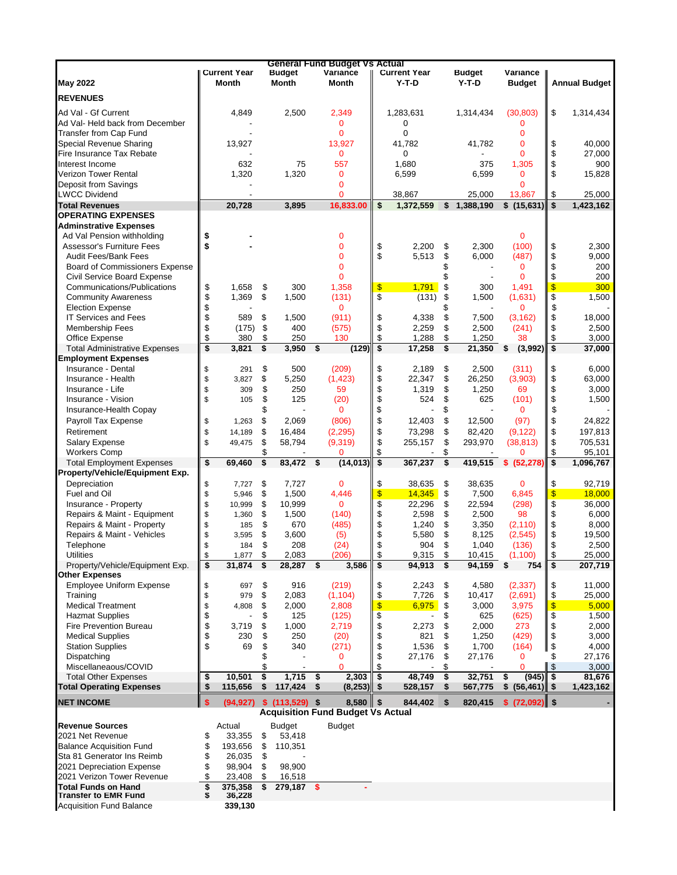|                                                            |              |                                     |          |                              |      | <b>General Fund Budget Vs Actual</b>     |          |                                |          |                   |                           |               |                      |
|------------------------------------------------------------|--------------|-------------------------------------|----------|------------------------------|------|------------------------------------------|----------|--------------------------------|----------|-------------------|---------------------------|---------------|----------------------|
| <b>May 2022</b>                                            |              | <b>Current Year</b><br><b>Month</b> |          | <b>Budget</b><br>Month       |      | Variance<br><b>Month</b>                 |          | <b>Current Year</b><br>$Y-T-D$ |          | Budget<br>$Y-T-D$ | Variance<br><b>Budget</b> |               | <b>Annual Budget</b> |
|                                                            |              |                                     |          |                              |      |                                          |          |                                |          |                   |                           |               |                      |
| <b>REVENUES</b>                                            |              |                                     |          |                              |      |                                          |          |                                |          |                   |                           |               |                      |
| Ad Val - Gf Current                                        |              | 4,849                               |          | 2,500                        |      | 2,349                                    |          | 1,283,631                      |          | 1,314,434         | (30, 803)                 | \$            | 1,314,434            |
| Ad Val- Held back from December                            |              |                                     |          |                              |      | 0                                        |          | 0                              |          |                   | 0                         |               |                      |
| Transfer from Cap Fund                                     |              |                                     |          |                              |      | $\mathbf{0}$                             |          | 0                              |          |                   | 0                         |               |                      |
| Special Revenue Sharing<br>Fire Insurance Tax Rebate       |              | 13,927                              |          |                              |      | 13,927<br>$\mathbf{0}$                   |          | 41,782<br>0                    |          | 41,782            | 0<br>0                    | \$<br>\$      | 40,000               |
| Interest Income                                            |              | 632                                 |          | 75                           |      | 557                                      |          | 1,680                          |          | 375               | 1,305                     | \$            | 27,000<br>900        |
| <b>Verizon Tower Rental</b>                                |              | 1,320                               |          | 1,320                        |      | 0                                        |          | 6,599                          |          | 6,599             | 0                         | \$            | 15,828               |
| Deposit from Savings                                       |              |                                     |          |                              |      | $\Omega$                                 |          |                                |          |                   | 0                         |               |                      |
| <b>LWCC Dividend</b>                                       |              |                                     |          |                              |      | 0                                        |          | 38,867                         |          | 25,000            | 13,867                    | \$            | 25,000               |
| <b>Total Revenues</b>                                      |              | 20,728                              |          | 3,895                        |      | 16,833.00                                | \$       | 1,372,559                      | \$       | 1,388,190         | \$(15,631)                | \$            | 1,423,162            |
| <b>OPERATING EXPENSES</b>                                  |              |                                     |          |                              |      |                                          |          |                                |          |                   |                           |               |                      |
| <b>Adminstrative Expenses</b>                              |              |                                     |          |                              |      |                                          |          |                                |          |                   |                           |               |                      |
| Ad Val Pension withholding                                 | \$           |                                     |          |                              |      | 0                                        |          |                                |          |                   | $\mathbf 0$               |               |                      |
| <b>Assessor's Furniture Fees</b>                           | \$           |                                     |          |                              |      | 0                                        | \$       | 2,200                          | \$       | 2,300             | (100)                     | \$            | 2,300                |
| <b>Audit Fees/Bank Fees</b>                                |              |                                     |          |                              |      | 0                                        | \$       | 5,513                          | \$       | 6,000             | (487)                     | \$            | 9,000                |
| <b>Board of Commissioners Expense</b>                      |              |                                     |          |                              |      | $\overline{0}$<br>0                      |          |                                |          |                   | $\mathbf 0$<br>$\Omega$   | \$            | 200                  |
| Civil Service Board Expense<br>Communications/Publications | \$           | 1,658                               | \$       | 300                          |      | 1,358                                    | \$       | 1,791                          | \$       | 300               | 1,491                     | \$<br>\$      | 200<br>300           |
| <b>Community Awareness</b>                                 | \$           | 1,369                               | \$       | 1,500                        |      | (131)                                    | \$       | (131)                          | \$       | 1,500             | (1,631)                   | \$            | 1,500                |
| <b>Election Expense</b>                                    | \$           |                                     |          |                              |      | $\mathbf 0$                              |          |                                |          |                   | 0                         | \$            |                      |
| <b>IT Services and Fees</b>                                | \$           | 589                                 | \$       | 1,500                        |      | (911)                                    | \$       | 4,338                          | \$       | 7,500             | (3, 162)                  | \$            | 18,000               |
| <b>Membership Fees</b>                                     | \$           | (175)                               | \$       | 400                          |      | (575)                                    | \$       | 2,259                          | \$       | 2,500             | (241)                     | \$            | 2,500                |
| Office Expense                                             | \$           | 380                                 | \$       | 250                          |      | 130                                      | \$       | 1,288                          | \$       | 1,250             | 38                        | \$            | 3,000                |
| <b>Total Administrative Expenses</b>                       | \$           | 3,821                               | \$       | 3,950                        | \$   | (129)                                    | \$       | 17,258                         | \$       | 21,350            | (3,992)<br>\$             | \$            | 37,000               |
| <b>Employment Expenses</b>                                 |              |                                     |          |                              |      |                                          |          |                                |          |                   |                           |               |                      |
| Insurance - Dental                                         | \$           | 291                                 | \$       | 500                          |      | (209)                                    | \$       | 2,189                          | \$       | 2,500             | (311)                     | \$            | 6,000                |
| Insurance - Health                                         | \$           | 3,827                               | \$       | 5,250                        |      | (1, 423)                                 | \$       | 22,347                         | \$       | 26,250            | (3,903)                   | \$            | 63,000               |
| Insurance - Life                                           | \$           | 309                                 | \$       | 250                          |      | 59                                       | \$       | 1,319                          | \$       | 1,250             | 69                        | \$            | 3,000                |
| Insurance - Vision                                         | \$           | 105                                 | \$       | 125                          |      | (20)                                     | \$       | 524                            | \$       | 625               | (101)                     | \$            | 1,500                |
| Insurance-Health Copay                                     |              |                                     | \$       |                              |      | $\mathbf 0$                              | \$       |                                | \$       |                   | $\mathbf 0$               | \$            |                      |
| Payroll Tax Expense                                        | \$           | 1,263                               | \$       | 2,069                        |      | (806)                                    | \$       | 12,403                         | \$       | 12,500            | (97)                      | \$            | 24,822               |
| Retirement<br><b>Salary Expense</b>                        | \$<br>\$     | 14,189                              | \$<br>\$ | 16,484<br>58,794             |      | (2, 295)<br>(9,319)                      | \$<br>\$ | 73,298                         | \$<br>\$ | 82,420<br>293,970 | (9, 122)                  | \$<br>\$      | 197,813<br>705,531   |
| <b>Workers Comp</b>                                        |              | 49,475                              |          |                              |      | 0                                        | \$       | 255,157                        |          |                   | (38, 813)                 | \$            | 95,101               |
| <b>Total Employment Expenses</b>                           | \$           | 69,460                              | \$       | 83,472                       | - \$ | (14, 013)                                | \$       | 367,237                        | \$       |                   | 419,515 \$ (52,278)       | \$            | 1,096,767            |
| Property/Vehicle/Equipment Exp.                            |              |                                     |          |                              |      |                                          |          |                                |          |                   |                           |               |                      |
| Depreciation                                               | \$           | 7,727                               | \$       | 7,727                        |      | $\mathbf 0$                              | \$       | 38,635                         | \$       | 38,635            | $\mathbf 0$               | \$            | 92,719               |
| Fuel and Oil                                               | \$           | 5,946                               | \$       | 1,500                        |      | 4,446                                    | \$       | 14,345                         | \$       | 7,500             | 6,845                     | $\frac{1}{2}$ | 18,000               |
| Insurance - Property                                       | \$           | 10,999                              | \$       | 10,999                       |      | $\mathbf{0}$                             | \$       | 22,296                         | \$       | 22,594            | (298)                     | \$            | 36,000               |
| Repairs & Maint - Equipment                                | \$           | 1,360                               | \$       | 1,500                        |      | (140)                                    | \$       | 2,598                          | \$       | 2,500             | 98                        | \$            | 6,000                |
| Repairs & Maint - Property                                 | \$           | 185                                 | \$       | 670                          |      | (485)                                    | \$       | 1,240                          | \$       | 3,350             | (2, 110)                  | \$            | 8,000                |
| Repairs & Maint - Vehicles                                 | \$           | 3,595                               | \$       | 3,600                        |      | (5)                                      | \$       | 5,580                          | \$       | 8,125             | (2, 545)                  | \$            | 19,500               |
| Telephone                                                  | \$           | 184                                 | \$       | 208                          |      | (24)                                     | \$       | 904                            | \$       | 1,040             | (136)                     | \$            | 2,500                |
| <b>Utilities</b>                                           | \$           | 1,877                               | \$       | 2,083                        |      | (206)                                    | \$       | 9,315                          | \$       | 10,415            | (1, 100)                  | \$            | 25,000               |
| Property/Vehicle/Equipment Exp.<br><b>Other Expenses</b>   | \$           | 31,874                              | \$       | 28,287 \$                    |      | 3,586                                    | \$       | 94,913 \$                      |          | 94,159 \$         | 754                       | \$            | 207,719              |
| <b>Employee Uniform Expense</b>                            | \$           | 697                                 | \$       | 916                          |      | (219)                                    | \$       | 2,243                          | \$       | 4,580             | (2, 337)                  | \$            | 11,000               |
| Training                                                   | \$           | 979                                 | \$       | 2,083                        |      | (1, 104)                                 | \$       | 7,726                          | \$       | 10,417            | (2,691)                   | \$            | 25,000               |
| <b>Medical Treatment</b>                                   | \$           | 4,808                               | \$       | 2,000                        |      | 2,808                                    | \$       | 6,975                          | \$       | 3,000             | 3,975                     | \$            | 5,000                |
| <b>Hazmat Supplies</b>                                     | \$           |                                     | \$       | 125                          |      | (125)                                    | \$       |                                | \$       | 625               | (625)                     | \$            | 1,500                |
| Fire Prevention Bureau                                     | \$           | 3,719                               | \$       | 1,000                        |      | 2,719                                    | \$       | 2,273                          | \$       | 2,000             | 273                       | \$            | 2,000                |
| <b>Medical Supplies</b>                                    | \$           | 230                                 | \$       | 250                          |      | (20)                                     | \$       | 821                            | \$       | 1,250             | (429)                     | \$            | 3,000                |
| <b>Station Supplies</b>                                    | \$           | 69                                  | \$       | 340                          |      | (271)                                    | \$       | 1,536                          | \$       | 1,700             | (164)                     | \$            | 4,000                |
| Dispatching                                                |              |                                     |          |                              |      | 0                                        | \$       | 27,176                         | \$       | 27,176            | $\mathbf 0$               | \$            | 27,176               |
| Miscellaneaous/COVID                                       |              |                                     | \$       |                              |      | $\Omega$                                 | \$       |                                | \$       |                   | $\Omega$                  | \$            | 3,000                |
| <b>Total Other Expenses</b>                                | \$           | 10,501                              | \$       | 1,715                        | -\$  | 2,303                                    | \$       | 48,749                         | \$       | 32,751            | (945)<br>\$               | \$            | 81,676               |
| <b>Total Operating Expenses</b>                            | \$           | 115,656                             | \$       | 117,424                      | \$   | (8,253)                                  | \$       | 528,157                        | \$       | 567,775           | $$ (56,461)$ \$           |               | 1,423,162            |
| <b>NET INCOME</b>                                          | $\mathsf{s}$ |                                     |          | $(94,927)$ \$ $(113,529)$ \$ |      | $8,580$ \$                               |          | 844,402 \$                     |          | 820,415           | $$ (72,092)$ \$           |               |                      |
|                                                            |              |                                     |          |                              |      | <b>Acquisition Fund Budget Vs Actual</b> |          |                                |          |                   |                           |               |                      |
| <b>Revenue Sources</b>                                     |              | Actual                              |          | <b>Budget</b>                |      | <b>Budget</b>                            |          |                                |          |                   |                           |               |                      |
| 2021 Net Revenue                                           | \$           | 33,355                              | \$       | 53,418                       |      |                                          |          |                                |          |                   |                           |               |                      |
| <b>Balance Acquisition Fund</b>                            | \$           | 193,656                             | \$       | 110,351                      |      |                                          |          |                                |          |                   |                           |               |                      |
| Sta 81 Generator Ins Reimb                                 | \$           | 26,035                              | \$       |                              |      |                                          |          |                                |          |                   |                           |               |                      |
| 2021 Depreciation Expense                                  | \$           | 98,904                              | \$       | 98,900                       |      |                                          |          |                                |          |                   |                           |               |                      |
| 2021 Verizon Tower Revenue                                 | \$           | 23,408                              | \$       | 16,518                       |      |                                          |          |                                |          |                   |                           |               |                      |
| <b>Total Funds on Hand</b><br><b>Transfer to EMR Fund</b>  | \$<br>\$     | 375,358<br>36,228                   | \$       | 279,187 \$                   |      |                                          |          |                                |          |                   |                           |               |                      |
| <b>Acquisition Fund Balance</b>                            |              | 339,130                             |          |                              |      |                                          |          |                                |          |                   |                           |               |                      |
|                                                            |              |                                     |          |                              |      |                                          |          |                                |          |                   |                           |               |                      |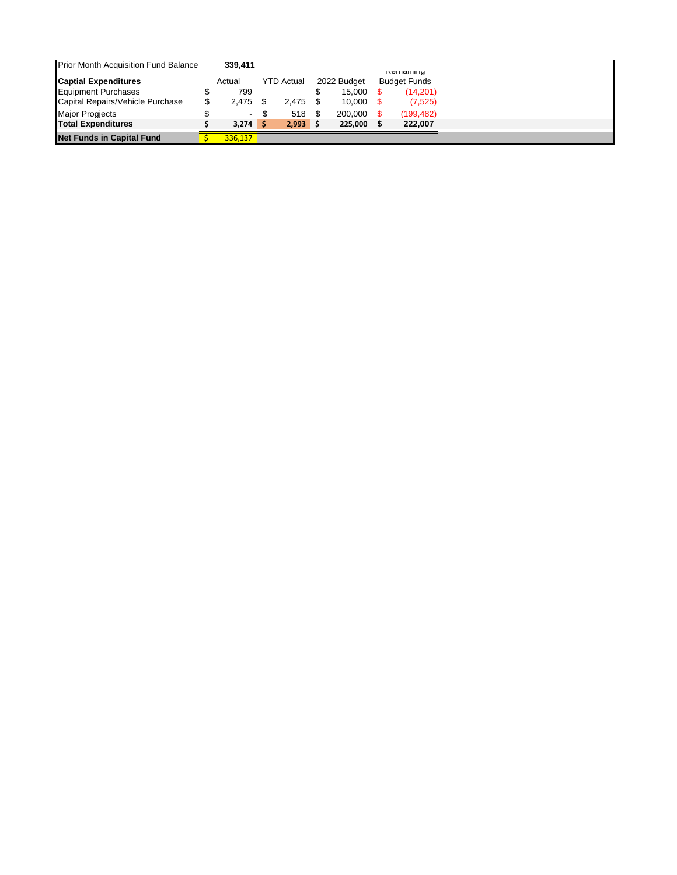| Prior Month Acquisition Fund Balance | 339.411     |                   |             |                                         |
|--------------------------------------|-------------|-------------------|-------------|-----------------------------------------|
| <b>Captial Expenditures</b>          | Actual      | <b>YTD Actual</b> | 2022 Budget | <b>Remaining</b><br><b>Budget Funds</b> |
| <b>Equipment Purchases</b>           | 799         |                   | 15.000      | (14.201)                                |
| Capital Repairs/Vehicle Purchase     | \$<br>2.475 | 2.475             | 10.000      | (7, 525)                                |
| <b>Major Progiects</b>               | -           | 518               | 200.000     | (199,482)                               |
| <b>Total Expenditures</b>            | $3.274$ \$  | $2,993$ \$        | 225.000     | 222.007                                 |
| <b>Net Funds in Capital Fund</b>     | 336.137     |                   |             |                                         |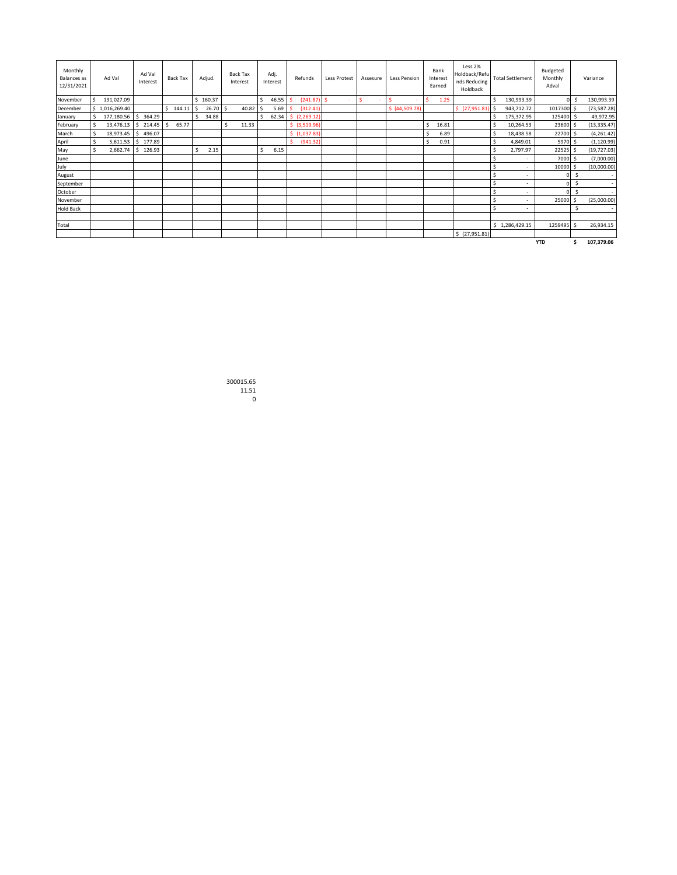| Monthly<br><b>Balances</b> as<br>12/31/2021 |      | Ad Val               | Ad Val   | Interest |    | Back Tax |    | Adjud. |      | <b>Back Tax</b><br>Interest |              | Adj.<br>Interest |   | Refunds       | Less Protest | Assesure    |   | <b>Less Pension</b> |   | Bank<br>Interest<br>Earned | Less 2%<br>Holdback/Refu<br>nds Reducing<br>Holdback |    | <b>Total Settlement</b>  | Budgeted<br>Monthly<br>Adval |     | Variance     |
|---------------------------------------------|------|----------------------|----------|----------|----|----------|----|--------|------|-----------------------------|--------------|------------------|---|---------------|--------------|-------------|---|---------------------|---|----------------------------|------------------------------------------------------|----|--------------------------|------------------------------|-----|--------------|
| November                                    | . \$ | 131,027.09           |          |          |    |          | \$ | 160.37 |      |                             | $\mathsf{S}$ | 46.55            |   | (241.87)      | \$           | Ś<br>$\sim$ | S | ÷                   | Ś | 1.25                       |                                                      | Ś  | 130,993.39               |                              | o s | 130,993.39   |
| December                                    |      | \$1,016,269.40       |          |          | Ŝ. | 144.11   | s  | 26.70  | l \$ | 40.82                       | Ŝ            | 5.69             |   | (312.41)      |              |             |   | \$ (44,509.78)      |   |                            | \$(27,951.81)                                        | ŝ  | 943,712.72               | 1017300 \$                   |     | (73, 587.28) |
| January                                     |      | 177,180.56 \$ 364.29 |          |          |    |          |    | 34.88  |      |                             | Ŝ.           | 62.34            |   | \$(2,269.12)  |              |             |   |                     |   |                            |                                                      | Ŝ. | 175,372.95               | 125400 \$                    |     | 49,972.95    |
| February                                    | -Ŝ   | 13,476.13            | \$214.45 |          | .s | 65.77    |    |        | Ŝ.   | 11.33                       |              |                  |   | \$ (3,519.96) |              |             |   |                     | S | 16.81                      |                                                      | Ŝ. | 10,264.53                | 23600 \$                     |     | (13, 335.47) |
| March                                       | \$   | 18,973.45 \$         |          | 496.07   |    |          |    |        |      |                             |              |                  |   | \$(1,037.83)  |              |             |   |                     |   | 6.89                       |                                                      | Ŝ. | 18,438.58                | 22700 \$                     |     | (4,261.42)   |
| April                                       | \$   | 5,611.53 \$ 177.89   |          |          |    |          |    |        |      |                             |              |                  | ¢ | (941.32)      |              |             |   |                     |   | 0.91                       |                                                      | Ŝ. | 4,849.01                 | 5970 \$                      |     | (1, 120.99)  |
| May                                         | Ŝ.   | 2,662.74             | \$126.93 |          |    |          | Ŝ. | 2.15   |      |                             | \$           | 6.15             |   |               |              |             |   |                     |   |                            |                                                      | Ŝ. | 2,797.97                 | 22525 \$                     |     | (19, 727.03) |
| June                                        |      |                      |          |          |    |          |    |        |      |                             |              |                  |   |               |              |             |   |                     |   |                            |                                                      | Ŝ  | $\sim$                   | 7000 \$                      |     | (7,000.00)   |
| July                                        |      |                      |          |          |    |          |    |        |      |                             |              |                  |   |               |              |             |   |                     |   |                            |                                                      | Ŝ  | $\overline{\phantom{a}}$ | 10000 \$                     |     | (10,000.00)  |
| August                                      |      |                      |          |          |    |          |    |        |      |                             |              |                  |   |               |              |             |   |                     |   |                            |                                                      | Ŝ  | $\overline{\phantom{a}}$ |                              | Ś   | $\sim$       |
| September                                   |      |                      |          |          |    |          |    |        |      |                             |              |                  |   |               |              |             |   |                     |   |                            |                                                      | Ś  | $\overline{\phantom{a}}$ | ∩ I                          | Ŝ   |              |
| October                                     |      |                      |          |          |    |          |    |        |      |                             |              |                  |   |               |              |             |   |                     |   |                            |                                                      | Ŝ  | $\overline{\phantom{a}}$ |                              | Ŝ   | $\sim$       |
| November                                    |      |                      |          |          |    |          |    |        |      |                             |              |                  |   |               |              |             |   |                     |   |                            |                                                      |    | $\overline{\phantom{a}}$ | 25000 \$                     |     | (25,000.00)  |
| <b>Hold Back</b>                            |      |                      |          |          |    |          |    |        |      |                             |              |                  |   |               |              |             |   |                     |   |                            |                                                      | Ŝ. |                          |                              | Ś   |              |
|                                             |      |                      |          |          |    |          |    |        |      |                             |              |                  |   |               |              |             |   |                     |   |                            |                                                      |    |                          |                              |     |              |
| Total                                       |      |                      |          |          |    |          |    |        |      |                             |              |                  |   |               |              |             |   |                     |   |                            |                                                      |    | \$1,286,429.15           | 1259495 \$                   |     | 26,934.15    |
|                                             |      |                      |          |          |    |          |    |        |      |                             |              |                  |   |               |              |             |   |                     |   |                            | \$ (27,951.81)                                       |    |                          |                              |     |              |
|                                             |      |                      |          |          |    |          |    |        |      |                             |              |                  |   |               |              |             |   |                     |   |                            |                                                      |    |                          | <b>YTD</b>                   | Ŝ   | 107,379.06   |

300015.65 11.51 0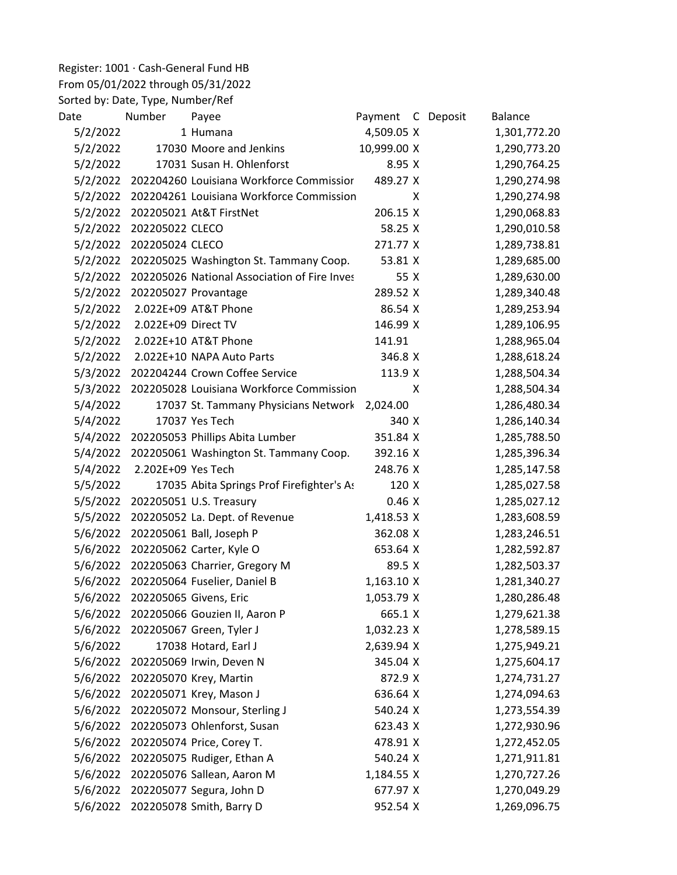Register: 1001 · Cash-General Fund HB

## From 05/01/2022 through 05/31/2022

Sorted by: Date, Type, Number/Ref

| Date     | Number              | Payee                                        | Payment C Deposit |   | Balance      |
|----------|---------------------|----------------------------------------------|-------------------|---|--------------|
| 5/2/2022 |                     | 1 Humana                                     | 4,509.05 X        |   | 1,301,772.20 |
| 5/2/2022 |                     | 17030 Moore and Jenkins                      | 10,999.00 X       |   | 1,290,773.20 |
| 5/2/2022 |                     | 17031 Susan H. Ohlenforst                    | 8.95 X            |   | 1,290,764.25 |
| 5/2/2022 |                     | 202204260 Louisiana Workforce Commissior     | 489.27 X          |   | 1,290,274.98 |
| 5/2/2022 |                     | 202204261 Louisiana Workforce Commission     |                   | X | 1,290,274.98 |
| 5/2/2022 |                     | 202205021 At&T FirstNet                      | 206.15 X          |   | 1,290,068.83 |
| 5/2/2022 | 202205022 CLECO     |                                              | 58.25 X           |   | 1,290,010.58 |
| 5/2/2022 | 202205024 CLECO     |                                              | 271.77 X          |   | 1,289,738.81 |
| 5/2/2022 |                     | 202205025 Washington St. Tammany Coop.       | 53.81 X           |   | 1,289,685.00 |
| 5/2/2022 |                     | 202205026 National Association of Fire Inves | 55 X              |   | 1,289,630.00 |
| 5/2/2022 |                     | 202205027 Provantage                         | 289.52 X          |   | 1,289,340.48 |
| 5/2/2022 |                     | 2.022E+09 AT&T Phone                         | 86.54 X           |   | 1,289,253.94 |
| 5/2/2022 | 2.022E+09 Direct TV |                                              | 146.99 X          |   | 1,289,106.95 |
| 5/2/2022 |                     | 2.022E+10 AT&T Phone                         | 141.91            |   | 1,288,965.04 |
| 5/2/2022 |                     | 2.022E+10 NAPA Auto Parts                    | 346.8 X           |   | 1,288,618.24 |
| 5/3/2022 |                     | 202204244 Crown Coffee Service               | 113.9 X           |   | 1,288,504.34 |
| 5/3/2022 |                     | 202205028 Louisiana Workforce Commission     |                   | X | 1,288,504.34 |
| 5/4/2022 |                     | 17037 St. Tammany Physicians Network         | 2,024.00          |   | 1,286,480.34 |
| 5/4/2022 |                     | 17037 Yes Tech                               | 340 X             |   | 1,286,140.34 |
| 5/4/2022 |                     | 202205053 Phillips Abita Lumber              | 351.84 X          |   | 1,285,788.50 |
| 5/4/2022 |                     | 202205061 Washington St. Tammany Coop.       | 392.16 X          |   | 1,285,396.34 |
| 5/4/2022 | 2.202E+09 Yes Tech  |                                              | 248.76 X          |   | 1,285,147.58 |
| 5/5/2022 |                     | 17035 Abita Springs Prof Firefighter's As    | 120 X             |   | 1,285,027.58 |
| 5/5/2022 |                     | 202205051 U.S. Treasury                      | 0.46X             |   | 1,285,027.12 |
| 5/5/2022 |                     | 202205052 La. Dept. of Revenue               | 1,418.53 X        |   | 1,283,608.59 |
| 5/6/2022 |                     | 202205061 Ball, Joseph P                     | 362.08 X          |   | 1,283,246.51 |
| 5/6/2022 |                     | 202205062 Carter, Kyle O                     | 653.64 X          |   | 1,282,592.87 |
| 5/6/2022 |                     | 202205063 Charrier, Gregory M                | 89.5 X            |   | 1,282,503.37 |
| 5/6/2022 |                     | 202205064 Fuselier, Daniel B                 | 1,163.10 X        |   | 1,281,340.27 |
| 5/6/2022 |                     | 202205065 Givens, Eric                       | 1,053.79 X        |   | 1,280,286.48 |
| 5/6/2022 |                     | 202205066 Gouzien II, Aaron P                | 665.1 X           |   | 1,279,621.38 |
| 5/6/2022 |                     | 202205067 Green, Tyler J                     | 1,032.23 X        |   | 1,278,589.15 |
| 5/6/2022 |                     | 17038 Hotard, Earl J                         | 2,639.94 X        |   | 1,275,949.21 |
| 5/6/2022 |                     | 202205069 Irwin, Deven N                     | 345.04 X          |   | 1,275,604.17 |
| 5/6/2022 |                     | 202205070 Krey, Martin                       | 872.9 X           |   | 1,274,731.27 |
| 5/6/2022 |                     | 202205071 Krey, Mason J                      | 636.64 X          |   | 1,274,094.63 |
| 5/6/2022 |                     | 202205072 Monsour, Sterling J                | 540.24 X          |   | 1,273,554.39 |
| 5/6/2022 |                     | 202205073 Ohlenforst, Susan                  | 623.43 X          |   | 1,272,930.96 |
| 5/6/2022 |                     | 202205074 Price, Corey T.                    | 478.91 X          |   | 1,272,452.05 |
| 5/6/2022 |                     | 202205075 Rudiger, Ethan A                   | 540.24 X          |   | 1,271,911.81 |
| 5/6/2022 |                     | 202205076 Sallean, Aaron M                   | 1,184.55 X        |   | 1,270,727.26 |
| 5/6/2022 |                     | 202205077 Segura, John D                     | 677.97 X          |   | 1,270,049.29 |
| 5/6/2022 |                     | 202205078 Smith, Barry D                     | 952.54 X          |   | 1,269,096.75 |
|          |                     |                                              |                   |   |              |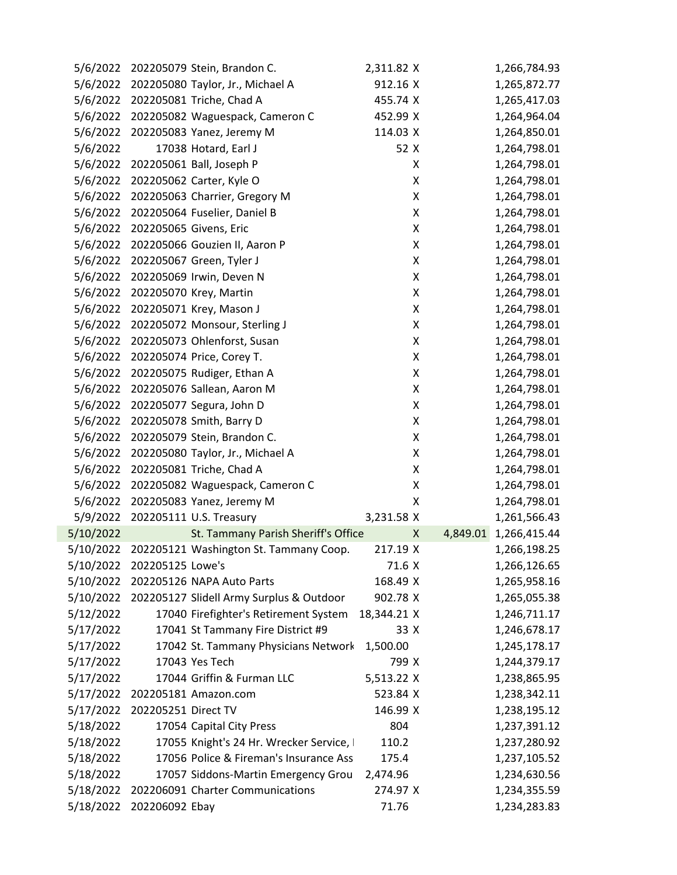| 5/6/2022  |                     | 202205079 Stein, Brandon C.              | 2,311.82 X  |               | 1,266,784.93 |
|-----------|---------------------|------------------------------------------|-------------|---------------|--------------|
| 5/6/2022  |                     | 202205080 Taylor, Jr., Michael A         | 912.16 X    |               | 1,265,872.77 |
|           |                     | 5/6/2022 202205081 Triche, Chad A        | 455.74 X    |               | 1,265,417.03 |
| 5/6/2022  |                     | 202205082 Waguespack, Cameron C          | 452.99 X    |               | 1,264,964.04 |
| 5/6/2022  |                     | 202205083 Yanez, Jeremy M                | 114.03 X    |               | 1,264,850.01 |
| 5/6/2022  |                     | 17038 Hotard, Earl J                     | 52 X        |               | 1,264,798.01 |
| 5/6/2022  |                     | 202205061 Ball, Joseph P                 |             | X             | 1,264,798.01 |
| 5/6/2022  |                     | 202205062 Carter, Kyle O                 |             | X             | 1,264,798.01 |
| 5/6/2022  |                     | 202205063 Charrier, Gregory M            |             | Χ             | 1,264,798.01 |
| 5/6/2022  |                     | 202205064 Fuselier, Daniel B             |             | X             | 1,264,798.01 |
| 5/6/2022  |                     | 202205065 Givens, Eric                   |             | Χ             | 1,264,798.01 |
| 5/6/2022  |                     | 202205066 Gouzien II, Aaron P            |             | Χ             | 1,264,798.01 |
| 5/6/2022  |                     | 202205067 Green, Tyler J                 |             | Χ             | 1,264,798.01 |
| 5/6/2022  |                     | 202205069 Irwin, Deven N                 |             | Χ             | 1,264,798.01 |
| 5/6/2022  |                     | 202205070 Krey, Martin                   |             | Χ             | 1,264,798.01 |
| 5/6/2022  |                     | 202205071 Krey, Mason J                  |             | Χ             | 1,264,798.01 |
| 5/6/2022  |                     | 202205072 Monsour, Sterling J            |             | X             | 1,264,798.01 |
| 5/6/2022  |                     | 202205073 Ohlenforst, Susan              |             | Χ             | 1,264,798.01 |
| 5/6/2022  |                     | 202205074 Price, Corey T.                |             | Χ             | 1,264,798.01 |
| 5/6/2022  |                     | 202205075 Rudiger, Ethan A               |             | Χ             | 1,264,798.01 |
| 5/6/2022  |                     | 202205076 Sallean, Aaron M               |             | Χ             | 1,264,798.01 |
| 5/6/2022  |                     | 202205077 Segura, John D                 |             | Χ             | 1,264,798.01 |
| 5/6/2022  |                     | 202205078 Smith, Barry D                 |             | X             | 1,264,798.01 |
| 5/6/2022  |                     | 202205079 Stein, Brandon C.              |             | Χ             | 1,264,798.01 |
| 5/6/2022  |                     | 202205080 Taylor, Jr., Michael A         |             | Χ             | 1,264,798.01 |
| 5/6/2022  |                     | 202205081 Triche, Chad A                 |             | Χ             | 1,264,798.01 |
| 5/6/2022  |                     | 202205082 Waguespack, Cameron C          |             | Χ             | 1,264,798.01 |
| 5/6/2022  |                     | 202205083 Yanez, Jeremy M                |             | Χ             | 1,264,798.01 |
| 5/9/2022  |                     | 202205111 U.S. Treasury                  | 3,231.58 X  |               | 1,261,566.43 |
| 5/10/2022 |                     | St. Tammany Parish Sheriff's Office      |             | 4,849.01<br>X | 1,266,415.44 |
| 5/10/2022 |                     | 202205121 Washington St. Tammany Coop.   | 217.19 X    |               | 1,266,198.25 |
| 5/10/2022 | 202205125 Lowe's    |                                          | 71.6 X      |               | 1,266,126.65 |
| 5/10/2022 |                     | 202205126 NAPA Auto Parts                | 168.49 X    |               | 1,265,958.16 |
| 5/10/2022 |                     | 202205127 Slidell Army Surplus & Outdoor | 902.78 X    |               | 1,265,055.38 |
| 5/12/2022 |                     | 17040 Firefighter's Retirement System    | 18,344.21 X |               | 1,246,711.17 |
| 5/17/2022 |                     | 17041 St Tammany Fire District #9        | 33 X        |               | 1,246,678.17 |
| 5/17/2022 |                     | 17042 St. Tammany Physicians Network     | 1,500.00    |               | 1,245,178.17 |
| 5/17/2022 |                     | 17043 Yes Tech                           | 799 X       |               | 1,244,379.17 |
| 5/17/2022 |                     | 17044 Griffin & Furman LLC               | 5,513.22 X  |               | 1,238,865.95 |
| 5/17/2022 |                     | 202205181 Amazon.com                     | 523.84 X    |               | 1,238,342.11 |
| 5/17/2022 | 202205251 Direct TV |                                          | 146.99 X    |               | 1,238,195.12 |
| 5/18/2022 |                     | 17054 Capital City Press                 | 804         |               | 1,237,391.12 |
| 5/18/2022 |                     | 17055 Knight's 24 Hr. Wrecker Service, I | 110.2       |               | 1,237,280.92 |
| 5/18/2022 |                     | 17056 Police & Fireman's Insurance Ass   | 175.4       |               | 1,237,105.52 |
| 5/18/2022 |                     | 17057 Siddons-Martin Emergency Grou      | 2,474.96    |               | 1,234,630.56 |
| 5/18/2022 |                     | 202206091 Charter Communications         | 274.97 X    |               | 1,234,355.59 |
| 5/18/2022 | 202206092 Ebay      |                                          | 71.76       |               | 1,234,283.83 |
|           |                     |                                          |             |               |              |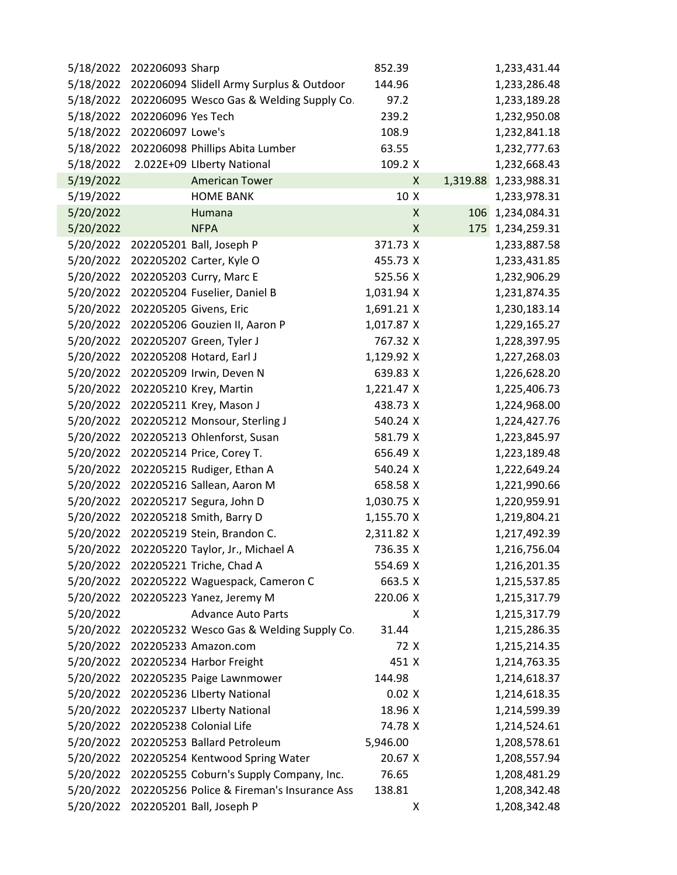|           |                           |                                                                                                                                                                                                                                                                                                                                                                                                                                                                                                                                                                                                                                                                                                                                                                                                                                                                                                                                                                                                                                                                                                                                                                                                                                                                                                                                      |        | 1,233,431.44                                                                                                                                                                                                                                                                                                                                                                                                               |
|-----------|---------------------------|--------------------------------------------------------------------------------------------------------------------------------------------------------------------------------------------------------------------------------------------------------------------------------------------------------------------------------------------------------------------------------------------------------------------------------------------------------------------------------------------------------------------------------------------------------------------------------------------------------------------------------------------------------------------------------------------------------------------------------------------------------------------------------------------------------------------------------------------------------------------------------------------------------------------------------------------------------------------------------------------------------------------------------------------------------------------------------------------------------------------------------------------------------------------------------------------------------------------------------------------------------------------------------------------------------------------------------------|--------|----------------------------------------------------------------------------------------------------------------------------------------------------------------------------------------------------------------------------------------------------------------------------------------------------------------------------------------------------------------------------------------------------------------------------|
|           |                           | 144.96                                                                                                                                                                                                                                                                                                                                                                                                                                                                                                                                                                                                                                                                                                                                                                                                                                                                                                                                                                                                                                                                                                                                                                                                                                                                                                                               |        | 1,233,286.48                                                                                                                                                                                                                                                                                                                                                                                                               |
| 5/18/2022 |                           | 97.2                                                                                                                                                                                                                                                                                                                                                                                                                                                                                                                                                                                                                                                                                                                                                                                                                                                                                                                                                                                                                                                                                                                                                                                                                                                                                                                                 |        | 1,233,189.28                                                                                                                                                                                                                                                                                                                                                                                                               |
|           |                           | 239.2                                                                                                                                                                                                                                                                                                                                                                                                                                                                                                                                                                                                                                                                                                                                                                                                                                                                                                                                                                                                                                                                                                                                                                                                                                                                                                                                |        | 1,232,950.08                                                                                                                                                                                                                                                                                                                                                                                                               |
|           |                           | 108.9                                                                                                                                                                                                                                                                                                                                                                                                                                                                                                                                                                                                                                                                                                                                                                                                                                                                                                                                                                                                                                                                                                                                                                                                                                                                                                                                |        | 1,232,841.18                                                                                                                                                                                                                                                                                                                                                                                                               |
| 5/18/2022 |                           | 63.55                                                                                                                                                                                                                                                                                                                                                                                                                                                                                                                                                                                                                                                                                                                                                                                                                                                                                                                                                                                                                                                                                                                                                                                                                                                                                                                                |        | 1,232,777.63                                                                                                                                                                                                                                                                                                                                                                                                               |
|           |                           |                                                                                                                                                                                                                                                                                                                                                                                                                                                                                                                                                                                                                                                                                                                                                                                                                                                                                                                                                                                                                                                                                                                                                                                                                                                                                                                                      |        | 1,232,668.43                                                                                                                                                                                                                                                                                                                                                                                                               |
|           | <b>American Tower</b>     |                                                                                                                                                                                                                                                                                                                                                                                                                                                                                                                                                                                                                                                                                                                                                                                                                                                                                                                                                                                                                                                                                                                                                                                                                                                                                                                                      |        | 1,233,988.31                                                                                                                                                                                                                                                                                                                                                                                                               |
|           | <b>HOME BANK</b>          |                                                                                                                                                                                                                                                                                                                                                                                                                                                                                                                                                                                                                                                                                                                                                                                                                                                                                                                                                                                                                                                                                                                                                                                                                                                                                                                                      |        | 1,233,978.31                                                                                                                                                                                                                                                                                                                                                                                                               |
|           | Humana                    |                                                                                                                                                                                                                                                                                                                                                                                                                                                                                                                                                                                                                                                                                                                                                                                                                                                                                                                                                                                                                                                                                                                                                                                                                                                                                                                                      | 106    | 1,234,084.31                                                                                                                                                                                                                                                                                                                                                                                                               |
|           | <b>NFPA</b>               |                                                                                                                                                                                                                                                                                                                                                                                                                                                                                                                                                                                                                                                                                                                                                                                                                                                                                                                                                                                                                                                                                                                                                                                                                                                                                                                                      |        | 1,234,259.31                                                                                                                                                                                                                                                                                                                                                                                                               |
|           |                           |                                                                                                                                                                                                                                                                                                                                                                                                                                                                                                                                                                                                                                                                                                                                                                                                                                                                                                                                                                                                                                                                                                                                                                                                                                                                                                                                      |        | 1,233,887.58                                                                                                                                                                                                                                                                                                                                                                                                               |
| 5/20/2022 |                           |                                                                                                                                                                                                                                                                                                                                                                                                                                                                                                                                                                                                                                                                                                                                                                                                                                                                                                                                                                                                                                                                                                                                                                                                                                                                                                                                      |        | 1,233,431.85                                                                                                                                                                                                                                                                                                                                                                                                               |
|           |                           |                                                                                                                                                                                                                                                                                                                                                                                                                                                                                                                                                                                                                                                                                                                                                                                                                                                                                                                                                                                                                                                                                                                                                                                                                                                                                                                                      |        | 1,232,906.29                                                                                                                                                                                                                                                                                                                                                                                                               |
|           |                           |                                                                                                                                                                                                                                                                                                                                                                                                                                                                                                                                                                                                                                                                                                                                                                                                                                                                                                                                                                                                                                                                                                                                                                                                                                                                                                                                      |        | 1,231,874.35                                                                                                                                                                                                                                                                                                                                                                                                               |
|           |                           |                                                                                                                                                                                                                                                                                                                                                                                                                                                                                                                                                                                                                                                                                                                                                                                                                                                                                                                                                                                                                                                                                                                                                                                                                                                                                                                                      |        | 1,230,183.14                                                                                                                                                                                                                                                                                                                                                                                                               |
|           |                           |                                                                                                                                                                                                                                                                                                                                                                                                                                                                                                                                                                                                                                                                                                                                                                                                                                                                                                                                                                                                                                                                                                                                                                                                                                                                                                                                      |        | 1,229,165.27                                                                                                                                                                                                                                                                                                                                                                                                               |
| 5/20/2022 |                           |                                                                                                                                                                                                                                                                                                                                                                                                                                                                                                                                                                                                                                                                                                                                                                                                                                                                                                                                                                                                                                                                                                                                                                                                                                                                                                                                      |        | 1,228,397.95                                                                                                                                                                                                                                                                                                                                                                                                               |
| 5/20/2022 |                           |                                                                                                                                                                                                                                                                                                                                                                                                                                                                                                                                                                                                                                                                                                                                                                                                                                                                                                                                                                                                                                                                                                                                                                                                                                                                                                                                      |        | 1,227,268.03                                                                                                                                                                                                                                                                                                                                                                                                               |
|           |                           |                                                                                                                                                                                                                                                                                                                                                                                                                                                                                                                                                                                                                                                                                                                                                                                                                                                                                                                                                                                                                                                                                                                                                                                                                                                                                                                                      |        | 1,226,628.20                                                                                                                                                                                                                                                                                                                                                                                                               |
|           |                           |                                                                                                                                                                                                                                                                                                                                                                                                                                                                                                                                                                                                                                                                                                                                                                                                                                                                                                                                                                                                                                                                                                                                                                                                                                                                                                                                      |        | 1,225,406.73                                                                                                                                                                                                                                                                                                                                                                                                               |
|           |                           |                                                                                                                                                                                                                                                                                                                                                                                                                                                                                                                                                                                                                                                                                                                                                                                                                                                                                                                                                                                                                                                                                                                                                                                                                                                                                                                                      |        | 1,224,968.00                                                                                                                                                                                                                                                                                                                                                                                                               |
|           |                           |                                                                                                                                                                                                                                                                                                                                                                                                                                                                                                                                                                                                                                                                                                                                                                                                                                                                                                                                                                                                                                                                                                                                                                                                                                                                                                                                      |        | 1,224,427.76                                                                                                                                                                                                                                                                                                                                                                                                               |
|           |                           |                                                                                                                                                                                                                                                                                                                                                                                                                                                                                                                                                                                                                                                                                                                                                                                                                                                                                                                                                                                                                                                                                                                                                                                                                                                                                                                                      |        | 1,223,845.97                                                                                                                                                                                                                                                                                                                                                                                                               |
| 5/20/2022 |                           |                                                                                                                                                                                                                                                                                                                                                                                                                                                                                                                                                                                                                                                                                                                                                                                                                                                                                                                                                                                                                                                                                                                                                                                                                                                                                                                                      |        | 1,223,189.48                                                                                                                                                                                                                                                                                                                                                                                                               |
|           |                           |                                                                                                                                                                                                                                                                                                                                                                                                                                                                                                                                                                                                                                                                                                                                                                                                                                                                                                                                                                                                                                                                                                                                                                                                                                                                                                                                      |        | 1,222,649.24                                                                                                                                                                                                                                                                                                                                                                                                               |
|           |                           |                                                                                                                                                                                                                                                                                                                                                                                                                                                                                                                                                                                                                                                                                                                                                                                                                                                                                                                                                                                                                                                                                                                                                                                                                                                                                                                                      |        | 1,221,990.66                                                                                                                                                                                                                                                                                                                                                                                                               |
|           |                           |                                                                                                                                                                                                                                                                                                                                                                                                                                                                                                                                                                                                                                                                                                                                                                                                                                                                                                                                                                                                                                                                                                                                                                                                                                                                                                                                      |        | 1,220,959.91                                                                                                                                                                                                                                                                                                                                                                                                               |
|           |                           |                                                                                                                                                                                                                                                                                                                                                                                                                                                                                                                                                                                                                                                                                                                                                                                                                                                                                                                                                                                                                                                                                                                                                                                                                                                                                                                                      |        | 1,219,804.21                                                                                                                                                                                                                                                                                                                                                                                                               |
| 5/20/2022 |                           |                                                                                                                                                                                                                                                                                                                                                                                                                                                                                                                                                                                                                                                                                                                                                                                                                                                                                                                                                                                                                                                                                                                                                                                                                                                                                                                                      |        | 1,217,492.39                                                                                                                                                                                                                                                                                                                                                                                                               |
| 5/20/2022 |                           |                                                                                                                                                                                                                                                                                                                                                                                                                                                                                                                                                                                                                                                                                                                                                                                                                                                                                                                                                                                                                                                                                                                                                                                                                                                                                                                                      |        | 1,216,756.04                                                                                                                                                                                                                                                                                                                                                                                                               |
|           |                           |                                                                                                                                                                                                                                                                                                                                                                                                                                                                                                                                                                                                                                                                                                                                                                                                                                                                                                                                                                                                                                                                                                                                                                                                                                                                                                                                      |        | 1,216,201.35                                                                                                                                                                                                                                                                                                                                                                                                               |
|           |                           |                                                                                                                                                                                                                                                                                                                                                                                                                                                                                                                                                                                                                                                                                                                                                                                                                                                                                                                                                                                                                                                                                                                                                                                                                                                                                                                                      |        | 1,215,537.85                                                                                                                                                                                                                                                                                                                                                                                                               |
|           |                           |                                                                                                                                                                                                                                                                                                                                                                                                                                                                                                                                                                                                                                                                                                                                                                                                                                                                                                                                                                                                                                                                                                                                                                                                                                                                                                                                      |        | 1,215,317.79                                                                                                                                                                                                                                                                                                                                                                                                               |
|           | <b>Advance Auto Parts</b> |                                                                                                                                                                                                                                                                                                                                                                                                                                                                                                                                                                                                                                                                                                                                                                                                                                                                                                                                                                                                                                                                                                                                                                                                                                                                                                                                      |        | 1,215,317.79                                                                                                                                                                                                                                                                                                                                                                                                               |
|           |                           | 31.44                                                                                                                                                                                                                                                                                                                                                                                                                                                                                                                                                                                                                                                                                                                                                                                                                                                                                                                                                                                                                                                                                                                                                                                                                                                                                                                                |        | 1,215,286.35                                                                                                                                                                                                                                                                                                                                                                                                               |
|           |                           |                                                                                                                                                                                                                                                                                                                                                                                                                                                                                                                                                                                                                                                                                                                                                                                                                                                                                                                                                                                                                                                                                                                                                                                                                                                                                                                                      |        | 1,215,214.35                                                                                                                                                                                                                                                                                                                                                                                                               |
|           |                           |                                                                                                                                                                                                                                                                                                                                                                                                                                                                                                                                                                                                                                                                                                                                                                                                                                                                                                                                                                                                                                                                                                                                                                                                                                                                                                                                      |        | 1,214,763.35                                                                                                                                                                                                                                                                                                                                                                                                               |
|           |                           | 144.98                                                                                                                                                                                                                                                                                                                                                                                                                                                                                                                                                                                                                                                                                                                                                                                                                                                                                                                                                                                                                                                                                                                                                                                                                                                                                                                               |        | 1,214,618.37                                                                                                                                                                                                                                                                                                                                                                                                               |
|           |                           |                                                                                                                                                                                                                                                                                                                                                                                                                                                                                                                                                                                                                                                                                                                                                                                                                                                                                                                                                                                                                                                                                                                                                                                                                                                                                                                                      |        | 1,214,618.35                                                                                                                                                                                                                                                                                                                                                                                                               |
|           |                           |                                                                                                                                                                                                                                                                                                                                                                                                                                                                                                                                                                                                                                                                                                                                                                                                                                                                                                                                                                                                                                                                                                                                                                                                                                                                                                                                      |        | 1,214,599.39                                                                                                                                                                                                                                                                                                                                                                                                               |
|           |                           |                                                                                                                                                                                                                                                                                                                                                                                                                                                                                                                                                                                                                                                                                                                                                                                                                                                                                                                                                                                                                                                                                                                                                                                                                                                                                                                                      |        | 1,214,524.61                                                                                                                                                                                                                                                                                                                                                                                                               |
|           |                           | 5,946.00                                                                                                                                                                                                                                                                                                                                                                                                                                                                                                                                                                                                                                                                                                                                                                                                                                                                                                                                                                                                                                                                                                                                                                                                                                                                                                                             |        | 1,208,578.61                                                                                                                                                                                                                                                                                                                                                                                                               |
|           |                           |                                                                                                                                                                                                                                                                                                                                                                                                                                                                                                                                                                                                                                                                                                                                                                                                                                                                                                                                                                                                                                                                                                                                                                                                                                                                                                                                      |        | 1,208,557.94                                                                                                                                                                                                                                                                                                                                                                                                               |
|           |                           | 76.65                                                                                                                                                                                                                                                                                                                                                                                                                                                                                                                                                                                                                                                                                                                                                                                                                                                                                                                                                                                                                                                                                                                                                                                                                                                                                                                                |        | 1,208,481.29                                                                                                                                                                                                                                                                                                                                                                                                               |
|           |                           | 138.81                                                                                                                                                                                                                                                                                                                                                                                                                                                                                                                                                                                                                                                                                                                                                                                                                                                                                                                                                                                                                                                                                                                                                                                                                                                                                                                               |        | 1,208,342.48                                                                                                                                                                                                                                                                                                                                                                                                               |
|           |                           |                                                                                                                                                                                                                                                                                                                                                                                                                                                                                                                                                                                                                                                                                                                                                                                                                                                                                                                                                                                                                                                                                                                                                                                                                                                                                                                                      |        | 1,208,342.48                                                                                                                                                                                                                                                                                                                                                                                                               |
|           |                           | 202206093 Sharp<br>202206094 Slidell Army Surplus & Outdoor<br>202206095 Wesco Gas & Welding Supply Co.<br>202206096 Yes Tech<br>202206097 Lowe's<br>202206098 Phillips Abita Lumber<br>2.022E+09 LIberty National<br>202205201 Ball, Joseph P<br>202205202 Carter, Kyle O<br>202205203 Curry, Marc E<br>202205204 Fuselier, Daniel B<br>202205205 Givens, Eric<br>202205206 Gouzien II, Aaron P<br>202205207 Green, Tyler J<br>202205208 Hotard, Earl J<br>202205209 Irwin, Deven N<br>202205210 Krey, Martin<br>202205211 Krey, Mason J<br>202205212 Monsour, Sterling J<br>202205213 Ohlenforst, Susan<br>202205214 Price, Corey T.<br>202205215 Rudiger, Ethan A<br>202205216 Sallean, Aaron M<br>202205217 Segura, John D<br>202205218 Smith, Barry D<br>202205219 Stein, Brandon C.<br>202205220 Taylor, Jr., Michael A<br>202205221 Triche, Chad A<br>202205222 Waguespack, Cameron C<br>202205223 Yanez, Jeremy M<br>202205232 Wesco Gas & Welding Supply Co.<br>202205233 Amazon.com<br>202205234 Harbor Freight<br>202205235 Paige Lawnmower<br>202205236 Liberty National<br>202205237 LIberty National<br>202205238 Colonial Life<br>202205253 Ballard Petroleum<br>202205254 Kentwood Spring Water<br>202205255 Coburn's Supply Company, Inc.<br>202205256 Police & Fireman's Insurance Ass<br>202205201 Ball, Joseph P | 852.39 | 109.2 X<br>X<br>1,319.88<br>10 X<br>X<br>X<br>175<br>371.73 X<br>455.73 X<br>525.56 X<br>1,031.94 X<br>1,691.21 X<br>1,017.87 X<br>767.32 X<br>1,129.92 X<br>639.83 X<br>1,221.47 X<br>438.73 X<br>540.24 X<br>581.79 X<br>656.49 X<br>540.24 X<br>658.58 X<br>1,030.75 X<br>1,155.70 X<br>2,311.82 X<br>736.35 X<br>554.69 X<br>663.5 X<br>220.06 X<br>x<br>72 X<br>451 X<br>0.02 X<br>18.96 X<br>74.78 X<br>20.67 X<br>Χ |